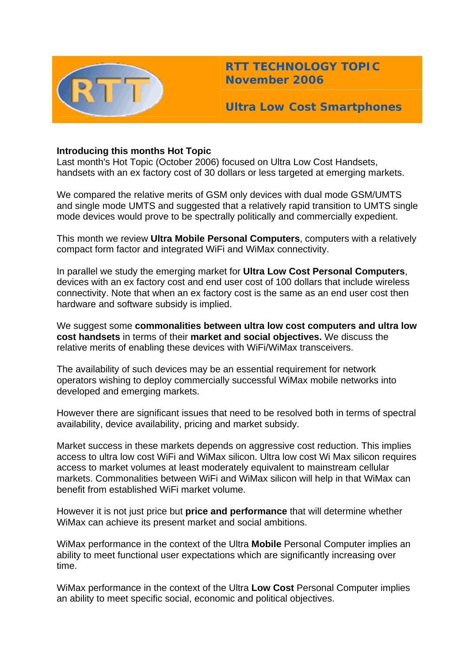

**RTT TECHNOLOGY TOPIC November 2006**

**Ultra Low Cost Smartphones** 

# **Introducing this months Hot Topic**

Last month's Hot Topic (October 2006) focused on Ultra Low Cost Handsets, handsets with an ex factory cost of 30 dollars or less targeted at emerging markets.

We compared the relative merits of GSM only devices with dual mode GSM/UMTS and single mode UMTS and suggested that a relatively rapid transition to UMTS single mode devices would prove to be spectrally politically and commercially expedient.

This month we review **Ultra Mobile Personal Computers**, computers with a relatively compact form factor and integrated WiFi and WiMax connectivity.

In parallel we study the emerging market for **Ultra Low Cost Personal Computers**, devices with an ex factory cost and end user cost of 100 dollars that include wireless connectivity. Note that when an ex factory cost is the same as an end user cost then hardware and software subsidy is implied.

We suggest some **commonalities between ultra low cost computers and ultra low cost handsets** in terms of their **market and social objectives.** We discuss the relative merits of enabling these devices with WiFi/WiMax transceivers.

The availability of such devices may be an essential requirement for network operators wishing to deploy commercially successful WiMax mobile networks into developed and emerging markets.

However there are significant issues that need to be resolved both in terms of spectral availability, device availability, pricing and market subsidy.

Market success in these markets depends on aggressive cost reduction. This implies access to ultra low cost WiFi and WiMax silicon. Ultra low cost Wi Max silicon requires access to market volumes at least moderately equivalent to mainstream cellular markets. Commonalities between WiFi and WiMax silicon will help in that WiMax can benefit from established WiFi market volume.

However it is not just price but **price and performance** that will determine whether WiMax can achieve its present market and social ambitions.

WiMax performance in the context of the Ultra **Mobile** Personal Computer implies an ability to meet functional user expectations which are significantly increasing over time.

WiMax performance in the context of the Ultra **Low Cost** Personal Computer implies an ability to meet specific social, economic and political objectives.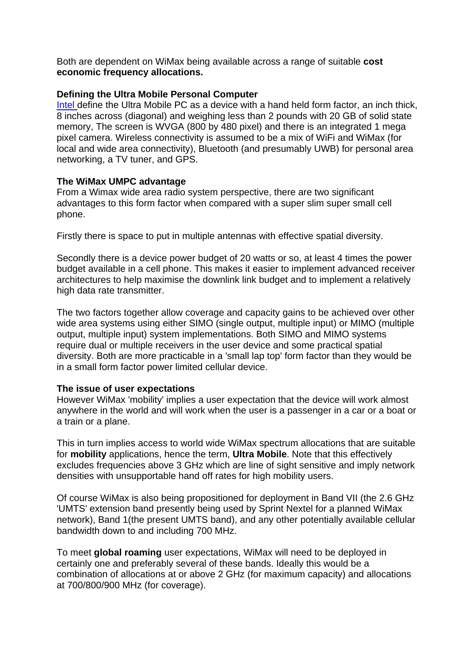Both are dependent on WiMax being available across a range of suitable **cost economic frequency allocations.**

# **Defining the Ultra Mobile Personal Computer**

Intel define the Ultra Mobile PC as a device with a hand held form factor, an inch thick, 8 inches across (diagonal) and weighing less than 2 pounds with 20 GB of solid state memory, The screen is WVGA (800 by 480 pixel) and there is an integrated 1 mega pixel camera. Wireless connectivity is assumed to be a mix of WiFi and WiMax (for local and wide area connectivity), Bluetooth (and presumably UWB) for personal area networking, a TV tuner, and GPS.

## **The WiMax UMPC advantage**

From a Wimax wide area radio system perspective, there are two significant advantages to this form factor when compared with a super slim super small cell phone.

Firstly there is space to put in multiple antennas with effective spatial diversity.

Secondly there is a device power budget of 20 watts or so, at least 4 times the power budget available in a cell phone. This makes it easier to implement advanced receiver architectures to help maximise the downlink link budget and to implement a relatively high data rate transmitter.

The two factors together allow coverage and capacity gains to be achieved over other wide area systems using either SIMO (single output, multiple input) or MIMO (multiple diversity. Both are more practicable in a 'small lap top' form factor than they would be output, multiple input) system implementations. Both SIMO and MIMO systems require dual or multiple receivers in the user device and some practical spatial in a small form factor power limited cellular device.

### **The issue of user expectations**

However WiMax 'mobility' implies a user expectation that the device will work almost anywhere in the world and will work when the user is a passenger in a car or a boat or a train or a plane.

This in turn implies access to world wide WiMax spectrum allocations that are suitable for **mobility** applications, hence the term, **Ultra Mobile**. Note that this effectively excludes frequencies above 3 GHz which are line of sight sensitive and imply network densities with unsupportable hand off rates for high mobility users.

Of course WiMax is also being propositioned for deployment in Band VII (the 2.6 GHz 'UMTS' extension band presently being used by Sprint Nextel for a planned WiMax network), Band 1(the present UMTS band), and any other potentially available cellular bandwidth down to and including 700 MHz.

To meet global roaming user expectations, WiMax will need to be deployed in certainly one and preferably several of these bands. Ideally this would be a combination of allocations at or above 2 GHz (for maximum capacity) and allocations at 700/800/900 MHz (for coverage).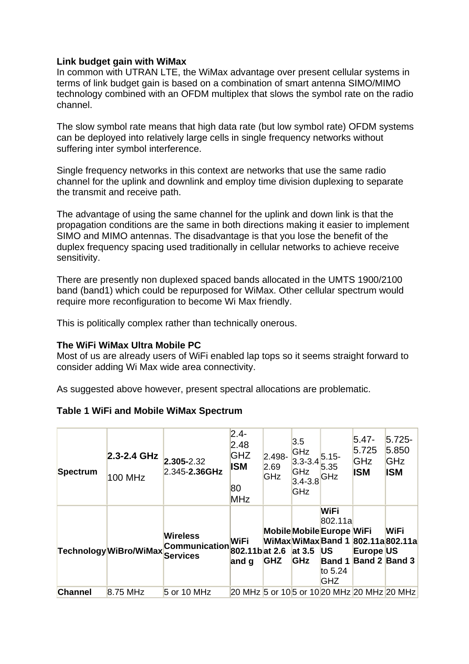# **Link budget gain with WiMax**

In common with UTRAN LTE, the WiMax advantage over present cellular systems in terms of link budget gain is based on a combination of smart antenna SIMO/MIMO technology combined with an OFDM multiplex that slows the symbol rate on the radio channel.

The slow symbol rate means that high data rate (but low symbol rate) OFDM systems can be deployed into relatively large cells in single frequency networks without suffering inter symbol interference.

Single frequency networks in this context are networks that use the same radio channel for the uplink and downlink and employ time division duplexing to separate the transmit and receive path.

The advantage of using the same channel for the uplink and down link is that the propagation conditions are the same in both directions making it easier to implement SIMO and MIMO antennas. The disadvantage is that you lose the benefit of the duplex frequency spacing used traditionally in cellular networks to achieve receive sensitivity.

There are presently non duplexed spaced bands allocated in the UMTS 1900/2100 band (band1) which could be repurposed for WiMax. Other cellular spectrum would require more reconfiguration to become Wi Max friendly.

This is politically complex rather than technically onerous.

# **The WiFi WiMax Ultra Mobile PC**

Most of us are already users of WiFi enabled lap tops so it seems straight forward to consider adding Wi Max wide area connectivity.

As suggested above however, present spectral allocations are problematic.

# **Table 1 WiFi and Mobile WiMax Spectrum**

| Spectrum       | 2.3-2.4 GHz<br>100 MHz | $2.305 - 2.32$<br>2.345-2.36GHz                      | $2.4 -$<br>2.48<br><b>GHZ</b><br><b>ISM</b><br>80<br>MHz | $2.498 -$<br>2.69<br>GHz | 3.5<br>GHz<br>$3.3 - 3.4$<br>GHz<br>$3.4 - 3.8$<br><b>GHz</b> | $5.15 -$<br>5.35<br>GHz                                                              | $5.47 -$<br>5.725<br>GHz<br><b>ISM</b>                                      | $5.725 -$<br>5.850<br>GHz<br><b>ISM</b> |
|----------------|------------------------|------------------------------------------------------|----------------------------------------------------------|--------------------------|---------------------------------------------------------------|--------------------------------------------------------------------------------------|-----------------------------------------------------------------------------|-----------------------------------------|
|                | Technology WiBro/WiMax | <b>Wireless</b><br>Communication $_{802.11b}$ at 2.6 | <b>WiFi</b><br>and g                                     | <b>GHZ</b>               | at $3.5$<br><b>GHz</b>                                        | WiFi<br>802.11a<br>Mobile Mobile Europe WiFi<br><b>US</b><br>to $5.24$<br><b>GHZ</b> | WiMaxWiMaxBand 1 802.11a802.11a<br>Europe US<br><b>Band 1 Band 2 Band 3</b> | <b>WiFi</b>                             |
| <b>Channel</b> | $8.75$ MHz             | $5$ or 10 MHz                                        |                                                          |                          |                                                               |                                                                                      | 20 MHz 5 or 10 5 or 10 20 MHz 20 MHz 20 MHz                                 |                                         |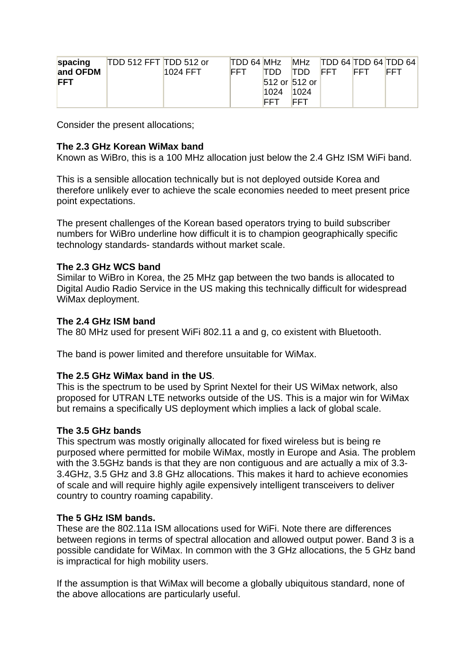| spacing    | TDD 512 FFT TDD 512 or |                 | TDD 64 MHz |             |                   |             |             | $MHz$ TDD 64 TDD 64 TDD 64 |
|------------|------------------------|-----------------|------------|-------------|-------------------|-------------|-------------|----------------------------|
| and OFDM   |                        | <b>1024 FFT</b> | <b>FFT</b> | חחדו        | <b>TDD</b>        | <b>IFFT</b> | <b>IFFT</b> | <b>FFT</b>                 |
| <b>FFT</b> |                        |                 |            |             | $512$ or $512$ or |             |             |                            |
|            |                        |                 |            | 1024        | 1024              |             |             |                            |
|            |                        |                 |            | <b>IFFT</b> | FFT               |             |             |                            |

Consider the present allocations;

# The 2.3 GHz Korean WiMax band

Known as WiBro, this is a 100 MHz allocation just below the 2.4 GHz ISM WiFi band.

therefore unlikely ever to achieve the scale economies needed to meet present price point expectations. This is a sen sible allocation technically but is not deploy ed outside Korea and

The present challenges of the Korean based operators trying to build subscriber numbers for WiBro underline how difficult it is to champion geographically specific technology standards- standards without market scale.

## **The 2.3 GHz WCS band**

Similar to WiBro in Korea, the 25 MHz gap between the two bands is allocated to Digital Audio Radio Service in the US making this technically difficult for widespread WiMax deployment.

### **The 2.4 GHz ISM band**

The 80 MHz used for present WiFi 802.11 a and g, co existent with Bluetooth.

The band is power limited and therefore unsuitable for WiMax.

### **The 2.5 GHz WiMax band in the US**.

proposed for UTRAN LTE networks outside of the US. This is a major win for WiMax but remains a specifically US deployment which implies a lack of global scale. This is the spectrum to be used by Sprint Nextel for their US WiMax network, also

### **The 3.5 GHz bands**

This spectrum was mostly originally allocated for fixed wireless but is being re with the 3.5GHz bands is that they are non contiguous and are actually a mix of 3.3s 3.4GHz, 3.5 GHz and 3.8 GHz allocations. This makes it hard to achieve economie purposed where permitted for mobile WiMax, mostly in Europe and Asia. The problem of scale and will require highly agile expensively intelligent transceivers to deliver country to country roaming capability.

# **. The 5 GHz ISM bands**

These are the 802.11a ISM allocations used for WiFi. Note there are differences between regions in terms of spectral allocation and allowed output power. Band 3 is a possible candidate for WiMax. In common with the 3 GHz allocations, the 5 GHz band is impractical for high mobility users.

If the assumption is that WiMax will become a globally ubiquitous standard, none of the above allocations are particularly useful.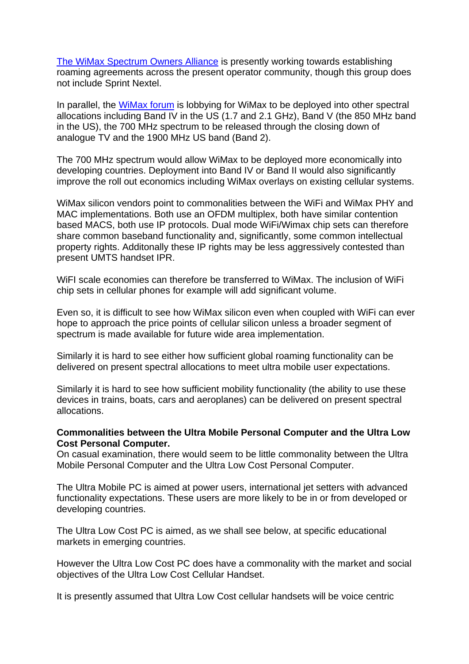The WiMax Spectrum Owners Alliance is presently working towards establishing roaming agreements across the present operator community, though this group does not include Sprint Nextel.

In parallel, the WiMax forum is lobbying for WiMax to be deployed into other spectral allocations including Band IV in the US (1.7 and 2.1 GHz), Band V (the 850 MHz band analogue TV and the 1900 MHz US band (Band 2). in the US), the 700 MHz spectrum to be released through the closing down of

The 700 MHz spectrum would allow WiMax to be deployed more economically into improve the roll out economics including WiMax overlays on existing cellular systems. developing countries. Deployment into Band IV or Band II would also significantly

based MACS, both use IP protocols. Dual mode WiFi/Wimax chip sets can therefore share common baseband functionality and, significantly, some common intellectual property rights. Additonally these IP rights may be less aggressively contested than WiMax silicon vendors point to commonalities between the WiFi and WiMax PHY and MAC implementations. Both use an OFDM multiplex, both have similar contention present UMTS handset IPR.

chip sets in cellular phones for example will add significant volume. WiFI scale economies can therefore be transferred to WiMax. The inclusion of WiFi

Even so, it is difficult to see how WiMax silicon even when coupled with WiFi can ever hope to approach the price points of cellular silicon unless a broader segment of spectrum is made available for future wide area implementation.

Similarly it is hard to see either how sufficient global roaming functionality can be delivered on present spectral allocations to meet ultra mobile user expectations.

Similarly it is hard to see how sufficient mobility functionality (the ability to use these devices in trains, boats, cars and aeroplanes) can be delivered on present spectral allocations.

# **Commonalities between the Ultra Mobile Personal Computer and the Ultra Low Cost Personal Computer.**

On casual examination, there would seem to be little commonality between the Ultra Mobile Personal Computer and the Ultra Low Cost Personal Computer.

developing countries. The Ultra Mobile PC is aimed at power users, international jet setters with advanced functionality expectations. These users are more likely to be in or from developed or

markets in emerging countries. The Ultra Low Cost PC is aimed, as we shall see below, at specific educational

However the Ultra Low Cost PC does have a commonality with the market and social objectives of the Ultra Low Cost Cellular Handset.

It is presently assumed that Ultra Low Cost cellular handsets will be voice centric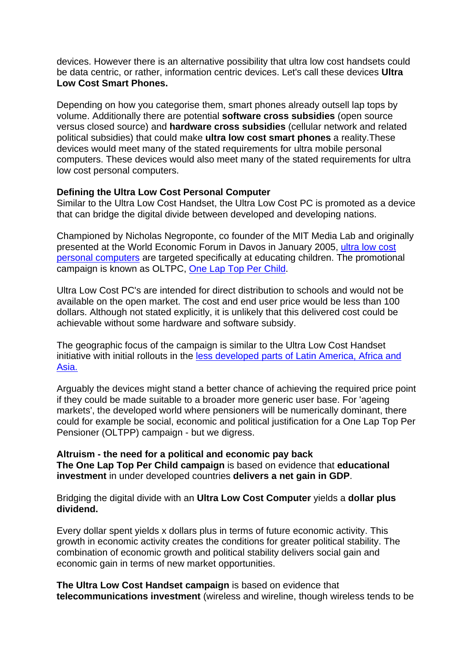devices. However there is an alternative possibility that ultra low cost handsets could be data centric, or rather, information centric devices. Let's call these devices **Ultra Low Cost Smart Phones.**

Depending on how you categorise them, smart phones already outsell lap tops by versus closed source) and **hardware cross subsidies** (cellular network and related political subsidies) that could make **ultra low cost smart phones** a reality.These volume. Additionally there are potential **software cross subsidies** (open source devices would meet many of the stated requirements for ultra mobile personal computers. These devices would also meet many of the stated requirements for ultra low cost personal computers.

# **Defining the Ultra Low Cost Personal Computer**

Similar to the Ultra Low Cost Handset, the Ultra Low Cost PC is promoted as a device that can bridge the digital divide between developed and developing nations.

Championed by Nicholas Negroponte, co founder of the MIT Media Lab and originally presented at the World Economic Forum in Davos in January 2005, ultra low cost personal computers are targeted specifically at educating children. The promotional campaign is known as OLTPC, One Lap Top Per Child.

Ultra Low Cost PC's are intended for direct distribution to schools and would not be dollars. Although not stated explicitly, it is unlikely that this delivered cost could be achievable without some hardware and software subsidy. available on the open market. The cost and end user price would be less than 100

The geographic focus of the campaign is similar to the Ultra Low Cost Handset initiative with initial rollouts in the [less developed parts of Latin America, Africa and](http://laptop.org/)  [Asia.](http://laptop.org/)

Arguably the devices might stand a better chance of achieving the required price poi nt if they could be made suitable to a broader more generic user base. For 'ageing markets', the developed world where pensioners will be numerically dominant, there could for example be social, economic and political justifica tion for a One Lap Top Per Pensioner (OLTPP) campaign - but we digress.

**e Lap Top Per Child campaign** is based on evidence that **educational The On investment** in under developed countries **delivers a net gain in GDP**. **Altruism - the need for a political and economic pay back**

Bridging the digital divide with an **Ultra Low Cost Computer** yields a **dollar plus dividend.**

Every dollar spent yields x dollars plus in terms of future economic activity. This growth in economic activity creates the conditions for greater political stability. The combination of economic growth and political stability delivers social gain and economic gain in terms of new market opportunities.

**The Ultra Low Cost Handset campaign** is based on evidence that telecommunications investment (wireless and wireline, though wireless tends to be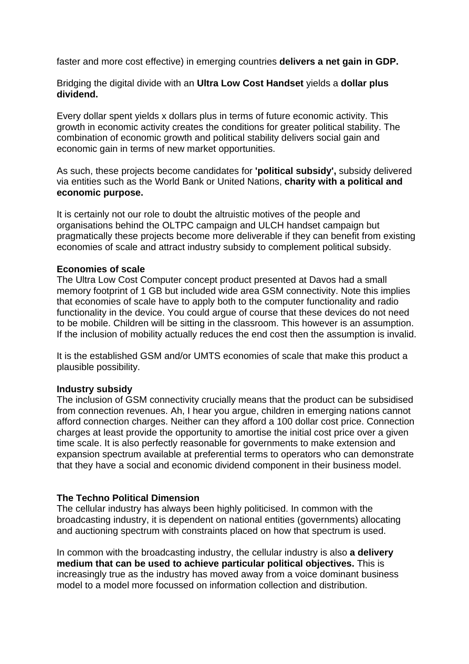faster and more cost effective) in emerging countries **delivers a net gain in GDP.** 

Bridging the digital divide with an **Ultra Low Cost Handset** yields a **dollar plus dividend.**

Every dollar spent yields x dollars plus in terms of future economic activity. This growth in economic activity creates the conditions for greater political stability. The combination of economic growth and political stability delivers social gain and economic gain in terms of new market opportunities.

As such, these projects become candidates for **'political subsidy',** subsidy delivered via entities such as the World Bank or United Nations, **charity with a political and** economic purpose.

pragmatically these projects become more deliverable if they can benefit from existing economies of scale and attract industry subsidy to complement political subsidy. It is certainly not our role to doubt the altruistic motives of the people and organisations behind the OLTPC campaign and ULCH handset campaign but

## **Economies of scale**

memory footprint of 1 GB but included wide area GSM connectivity. Note this implies that economies of scale have to apply both to the computer functionality and radio functionality in the device. You could argue of course that these devices do not need to be mobile. Children will be sitting in the classroom. This however is an assumption. The Ultra Low Cost Computer concept product presented at Davos had a small If the inclusion of mobility actually reduces the end cost then the assumption is invalid.

It is the established GSM and/or UMTS economies of scale that make this product a plausible possibility.

### **Industry subsidy**

The inclusion of GSM connectivity crucially means that the product can be subsidised time scale. It is also perfectly reasonable for governments to make extension and that they have a social and economic dividend component in their business model. from connection revenues. Ah, I hear you argue, children in emerging nations cannot afford connection charges. Neither can they afford a 100 dollar cost price. Connection charges at least provide the opportunity to amortise the initial cost price over a given expansion spectrum available at preferential terms to operators who can demonstrate

### **The Techno Political Dimension**

The cellular industry has always been highly politicised. In common with the broadcasting industry, it is dependent on national entities (governments) allocating and auctioning spectrum with constraints placed on how that spectrum is used.

increasingly true as the industry has moved away from a voice dominant business model to a model more focussed on information collection and distribution. In common with the broadcasting industry, the cellular industry is also **a delivery medium that can be used to achieve particular political objectives.** This is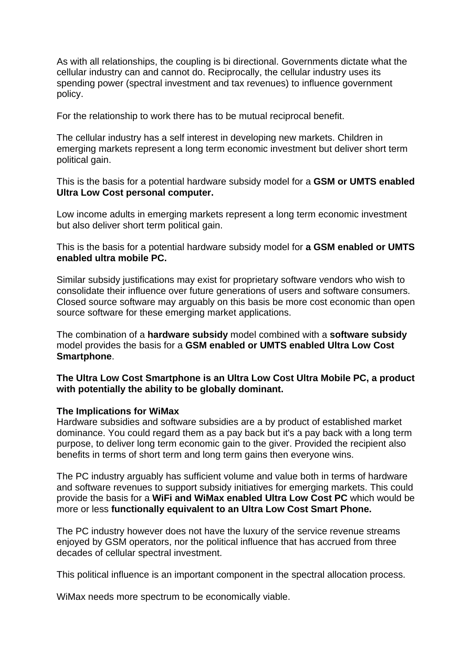As with all relationships, the coupling is bi directional. Governments dictate w hat the cellular industry can and cannot do. Reciprocally, the cellular industry uses its spending power (spectral investment and tax revenues) to influence government policy.

For the relationship to work there has to be mutual reciprocal benefit.

The cellular industry has a self interest in developing new markets. Children in emerging markets represent a long term economic investment but deliver short term political gain.

This is the basis for a potential hardware subsidy model for a GSM or UMTS enabled **Ultra Low Cost personal computer.** 

Low income adults in emerging markets represent a long term economic investment but also deliver short term political gain.

enabled ultra mobile PC. This is the basis for a potential hardware subsidy model for **a GSM enabled or UMTS**

consolidate their influence over future generations of users and software consumers. Closed source software may arguably on this basis be more cost economic than open Similar subsidy justifications may exist for proprietary software vendors who wish to source software for these emerging market applications.

The combination of a **hardware subsidy** model combined with a **software subsidy** model provides the basis for a **GSM enabled or UMTS enabled Ultra Low Cost Smartphone**.

The Ultra Low Cost Smartphone is an Ultra Low Cost Ultra Mobile PC, a product **with potentially the ability to be globally dominant.**

### **The Implications for WiMax**

Hardware subsidies and software subsidies are a by product of established market purpose, to deliver long term economic gain to the giver. Provided the recipient also benefits in terms of short term and long term gains then everyone wins. dominance. You could regard them as a pay back but it's a pay back with a long term

and software revenues to support subsidy initiatives for emerging markets. This could provide the basis for a **WiFi and WiMax enabled Ultra Low Cost PC** which would be more or less functionally equivalent to an Ultra Low Cost Smart Phone. The PC industry arguably has sufficient volume and value both in terms of hardware

The PC industry however does not have the luxury of the service revenue streams enjoyed by GSM operators, nor the political influence that has accrued from three decades of cellular spectral investment.

This political influence is an important component in the spectral allocation process.

WiMax needs more spectrum to be economically viable.